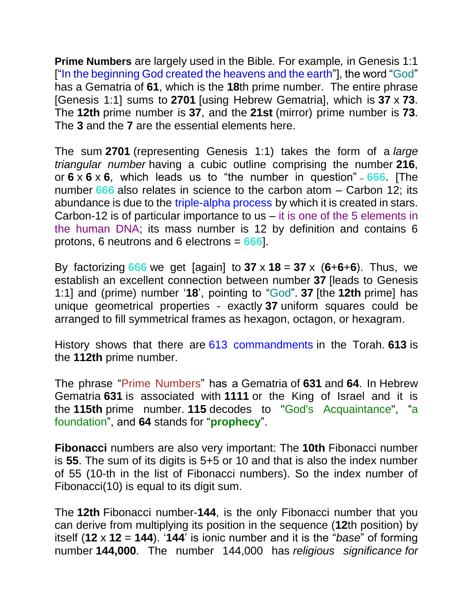**Prime Numbers** are largely used in the Bible*.* For example*,* in Genesis 1:1 ["In the beginning God created the heavens and the earth"], the word "God" has a Gematria of **61**, which is the **18**th prime number. The entire phrase [Genesis 1:1] sums to **2701** [using Hebrew Gematria], which is **37** x **73**. The **12th** prime number is **37**, and the **21st** (mirror) prime number is **73**. The **3** and the **7** are the essential elements here.

The sum **2701** (representing Genesis 1:1) takes the form of a *large triangular number* having a cubic outline comprising the number **216**, or **6** x **6** x **6**, which leads us to "the number in question" – **666**. [The number **666** also relates in science to the carbon atom – Carbon 12; its abundance is due to the [triple-alpha process](https://en.wikipedia.org/wiki/Triple-alpha_process) by which it is created in stars. Carbon-12 is of particular importance to us – it is one of the 5 elements in the human DNA; its mass number is 12 by definition and contains 6 protons, 6 neutrons and 6 electrons *=* **666**].

By factorizing  $666$  we get [again] to  $37 \times 18 = 37 \times (6+6+6)$ . Thus, we establish an excellent connection between number **37** [leads to Genesis 1:1] and (prime) number '**18**', pointing to "God". **37** [the **12th** prime] has unique geometrical properties - exactly **37** uniform squares could be arranged to fill symmetrical frames as hexagon, octagon, or hexagram.

History shows that there are [613 commandments](https://en.wikipedia.org/wiki/613_commandments) in the Torah. **613** is the **112th** prime number.

The phrase "Prime Numbers" has a Gematria of **631** and **64**. In Hebrew Gematria **631** is associated with **1111** or the King of Israel and it is the **115th** prime number. **115** decodes to "God's Acquaintance", "a foundation", and **64** stands for "**prophecy**".

**Fibonacci** numbers are also very important: The **10th** Fibonacci number is **55**. The sum of its digits is 5+5 or 10 and that is also the index number of 55 (10-th in the list of Fibonacci numbers). So the index number of Fibonacci(10) is equal to its digit sum.

The **12th** Fibonacci number-**144**, is the only Fibonacci number that you can derive from multiplying its position in the sequence (**12**th position) by itself (**12** x **12** = **144**). '**144**' is ionic number and it is the "*base*" of forming number **144,000**. The number 144,000 has *religious significance for*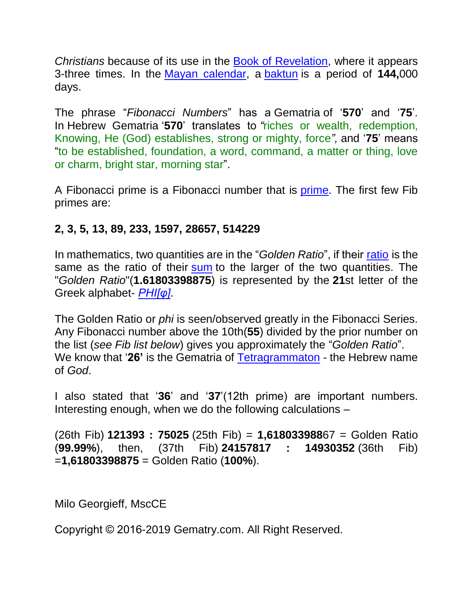*Christians* because of its use in the [Book of Revelation,](https://en.wikipedia.org/wiki/Book_of_Revelation) where it appears 3-three times. In the [Mayan calendar,](https://en.wikipedia.org/wiki/Mayan_calendar) a [baktun](https://en.wikipedia.org/wiki/Baktun) is a period of **144,**000 days.

The phrase "*Fibonacci Numbers*" has a Gematria of '**570**' and '**75**'. In Hebrew Gematria '**570**' translates to *"*riches or wealth, redemption, Knowing, He (God) establishes, strong or mighty, force*",* and '**75**' means "to be established, foundation, a word, command, a matter or thing, love or charm, bright star, morning star".

A Fibonacci prime is a Fibonacci number that is [prime.](https://en.wikipedia.org/wiki/Prime_number) The first few Fib primes are:

## **2, 3, 5, 13, 89, 233, 1597, 28657, 514229**

In mathematics, two quantities are in the "*Golden Ratio*", if their [ratio](https://en.wikipedia.org/wiki/Ratio) is the same as the ratio of their [sum](https://en.wikipedia.org/wiki/Summation) to the larger of the two quantities. The "*Golden Ratio*"(**1.61803398875**) is represented by the **21**st letter of the Greek alphabet- *[PHI\[φ\]](https://en.wikipedia.org/wiki/Phi)*.

The Golden Ratio or *phi* is seen/observed greatly in the Fibonacci Series. Any Fibonacci number above the 10th(**55**) divided by the prior number on the list (*see Fib list below*) gives you approximately the "*Golden Ratio*". We know that '**26'** is the Gematria of [Tetragrammaton](https://en.wikipedia.org/wiki/Tetragrammaton) - the Hebrew name of *God*.

I also stated that '**36**' and '**37**'(12th prime) are important numbers. Interesting enough, when we do the following calculations –

(26th Fib) **121393 : 75025** (25th Fib) = **1,618033988**67 = Golden Ratio (**99.99%**), then, (37th Fib) **24157817 : 14930352** (36th Fib) =**1,61803398875** = Golden Ratio (**100%**).

Milo Georgieff, MscCE

Copyright © 2016-2019 Gematry.com. All Right Reserved.